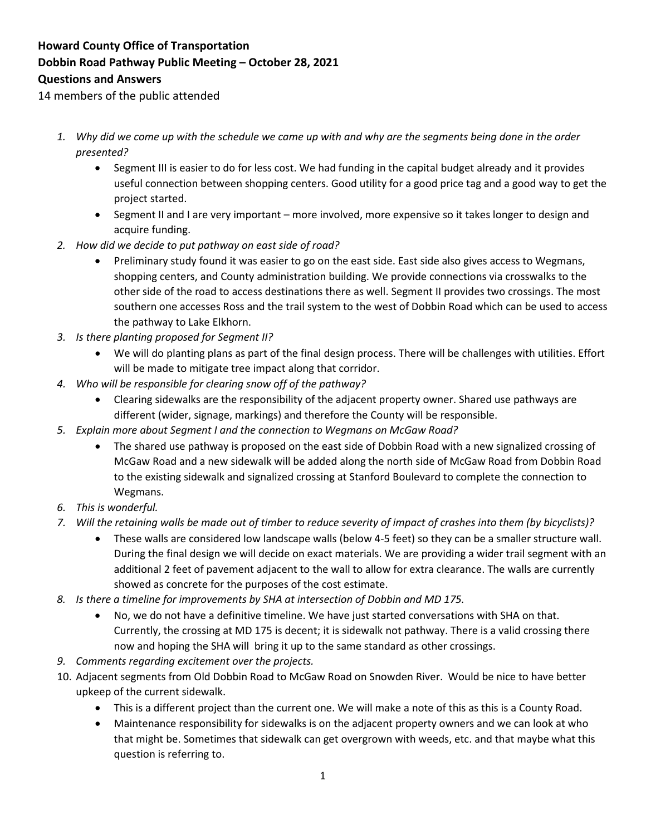## **Howard County Office of Transportation Dobbin Road Pathway Public Meeting – October 28, 2021 Questions and Answers**

14 members of the public attended

- *1. Why did we come up with the schedule we came up with and why are the segments being done in the order presented?* 
	- Segment III is easier to do for less cost. We had funding in the capital budget already and it provides useful connection between shopping centers. Good utility for a good price tag and a good way to get the project started.
	- Segment II and I are very important more involved, more expensive so it takes longer to design and acquire funding.
- *2. How did we decide to put pathway on east side of road?* 
	- Preliminary study found it was easier to go on the east side. East side also gives access to Wegmans, shopping centers, and County administration building. We provide connections via crosswalks to the other side of the road to access destinations there as well. Segment II provides two crossings. The most southern one accesses Ross and the trail system to the west of Dobbin Road which can be used to access the pathway to Lake Elkhorn.
- *3. Is there planting proposed for Segment II?* 
	- We will do planting plans as part of the final design process. There will be challenges with utilities. Effort will be made to mitigate tree impact along that corridor.
- *4. Who will be responsible for clearing snow off of the pathway?* 
	- Clearing sidewalks are the responsibility of the adjacent property owner. Shared use pathways are different (wider, signage, markings) and therefore the County will be responsible.
- *5. Explain more about Segment I and the connection to Wegmans on McGaw Road?* 
	- The shared use pathway is proposed on the east side of Dobbin Road with a new signalized crossing of McGaw Road and a new sidewalk will be added along the north side of McGaw Road from Dobbin Road to the existing sidewalk and signalized crossing at Stanford Boulevard to complete the connection to Wegmans.
- *6. This is wonderful.*
- *7. Will the retaining walls be made out of timber to reduce severity of impact of crashes into them (by bicyclists)?*
	- These walls are considered low landscape walls (below 4-5 feet) so they can be a smaller structure wall. During the final design we will decide on exact materials. We are providing a wider trail segment with an additional 2 feet of pavement adjacent to the wall to allow for extra clearance. The walls are currently showed as concrete for the purposes of the cost estimate.
- *8. Is there a timeline for improvements by SHA at intersection of Dobbin and MD 175.* 
	- No, we do not have a definitive timeline. We have just started conversations with SHA on that. Currently, the crossing at MD 175 is decent; it is sidewalk not pathway. There is a valid crossing there now and hoping the SHA will bring it up to the same standard as other crossings.
- *9. Comments regarding excitement over the projects.*
- 10. Adjacent segments from Old Dobbin Road to McGaw Road on Snowden River. Would be nice to have better upkeep of the current sidewalk.
	- This is a different project than the current one. We will make a note of this as this is a County Road.
	- Maintenance responsibility for sidewalks is on the adjacent property owners and we can look at who that might be. Sometimes that sidewalk can get overgrown with weeds, etc. and that maybe what this question is referring to.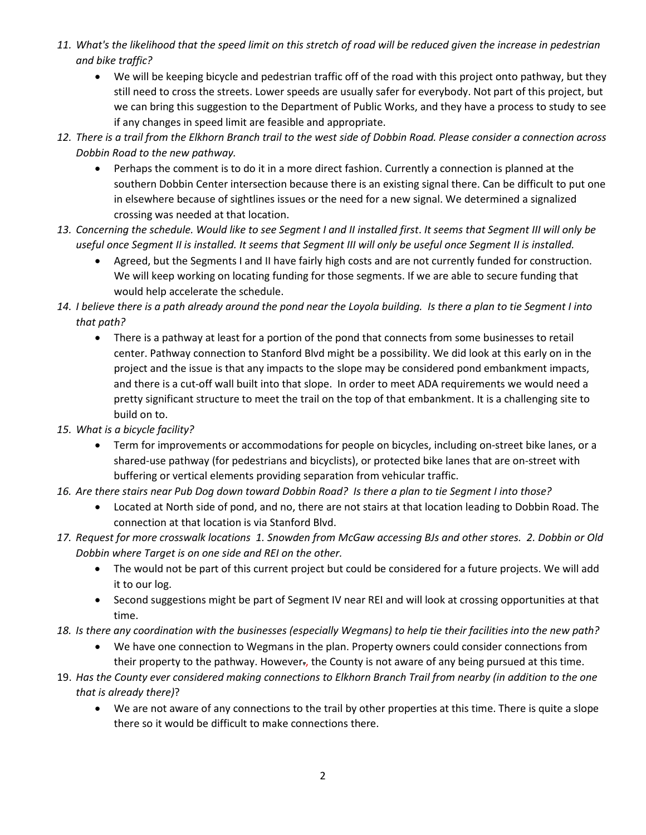- *11. What's the likelihood that the speed limit on this stretch of road will be reduced given the increase in pedestrian and bike traffic?* 
	- We will be keeping bicycle and pedestrian traffic off of the road with this project onto pathway, but they still need to cross the streets. Lower speeds are usually safer for everybody. Not part of this project, but we can bring this suggestion to the Department of Public Works, and they have a process to study to see if any changes in speed limit are feasible and appropriate.
- *12. There is a trail from the Elkhorn Branch trail to the west side of Dobbin Road. Please consider a connection across Dobbin Road to the new pathway.*
	- Perhaps the comment is to do it in a more direct fashion. Currently a connection is planned at the southern Dobbin Center intersection because there is an existing signal there. Can be difficult to put one in elsewhere because of sightlines issues or the need for a new signal. We determined a signalized crossing was needed at that location.
- *13. Concerning the schedule. Would like to see Segment I and II installed first*. *It seems that Segment III will only be useful once Segment II is installed. It seems that Segment III will only be useful once Segment II is installed.*
	- Agreed, but the Segments I and II have fairly high costs and are not currently funded for construction. We will keep working on locating funding for those segments. If we are able to secure funding that would help accelerate the schedule.
- *14. I believe there is a path already around the pond near the Loyola building. Is there a plan to tie Segment I into that path?*
	- There is a pathway at least for a portion of the pond that connects from some businesses to retail center. Pathway connection to Stanford Blvd might be a possibility. We did look at this early on in the project and the issue is that any impacts to the slope may be considered pond embankment impacts, and there is a cut-off wall built into that slope. In order to meet ADA requirements we would need a pretty significant structure to meet the trail on the top of that embankment. It is a challenging site to build on to.
- *15. What is a bicycle facility?*
	- Term for improvements or accommodations for people on bicycles, including on-street bike lanes, or a shared-use pathway (for pedestrians and bicyclists), or protected bike lanes that are on-street with buffering or vertical elements providing separation from vehicular traffic.
- *16. Are there stairs near Pub Dog down toward Dobbin Road? Is there a plan to tie Segment I into those?*
	- Located at North side of pond, and no, there are not stairs at that location leading to Dobbin Road. The connection at that location is via Stanford Blvd.
- *17. Request for more crosswalk locations 1. Snowden from McGaw accessing BJs and other stores. 2. Dobbin or Old Dobbin where Target is on one side and REI on the other.*
	- The would not be part of this current project but could be considered for a future projects. We will add it to our log.
	- Second suggestions might be part of Segment IV near REI and will look at crossing opportunities at that time.
- *18. Is there any coordination with the businesses (especially Wegmans) to help tie their facilities into the new path?*
	- We have one connection to Wegmans in the plan. Property owners could consider connections from their property to the pathway. However-, the County is not aware of any being pursued at this time.
- 19. *Has the County ever considered making connections to Elkhorn Branch Trail from nearby (in addition to the one that is already there)*?
	- We are not aware of any connections to the trail by other properties at this time. There is quite a slope there so it would be difficult to make connections there.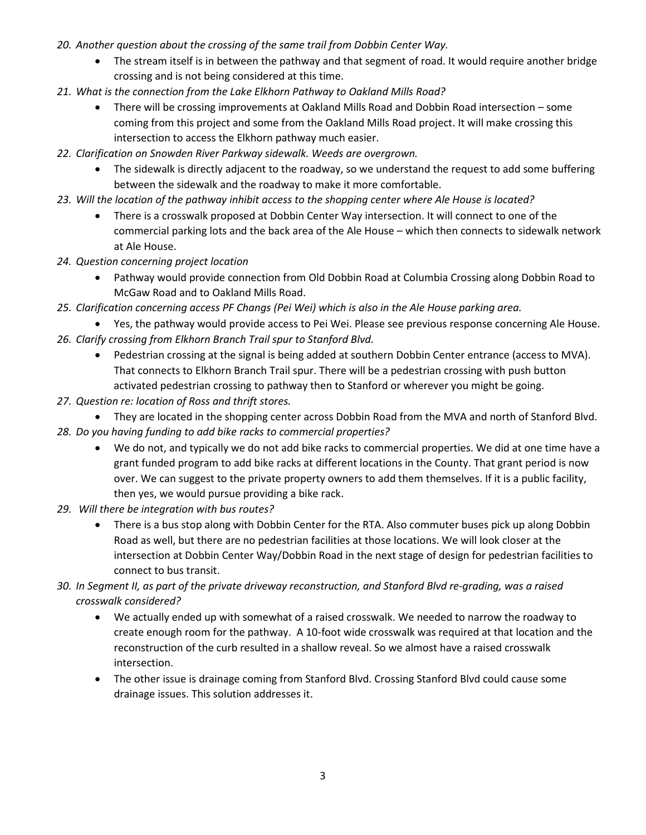- *20. Another question about the crossing of the same trail from Dobbin Center Way.*
	- The stream itself is in between the pathway and that segment of road. It would require another bridge crossing and is not being considered at this time.
- *21. What is the connection from the Lake Elkhorn Pathway to Oakland Mills Road?* 
	- There will be crossing improvements at Oakland Mills Road and Dobbin Road intersection some coming from this project and some from the Oakland Mills Road project. It will make crossing this intersection to access the Elkhorn pathway much easier.
- *22. Clarification on Snowden River Parkway sidewalk. Weeds are overgrown.* 
	- The sidewalk is directly adjacent to the roadway, so we understand the request to add some buffering between the sidewalk and the roadway to make it more comfortable.
- *23. Will the location of the pathway inhibit access to the shopping center where Ale House is located?*
	- There is a crosswalk proposed at Dobbin Center Way intersection. It will connect to one of the commercial parking lots and the back area of the Ale House – which then connects to sidewalk network at Ale House.
- *24. Question concerning project location* 
	- Pathway would provide connection from Old Dobbin Road at Columbia Crossing along Dobbin Road to McGaw Road and to Oakland Mills Road.
- *25. Clarification concerning access PF Changs (Pei Wei) which is also in the Ale House parking area.*
- Yes, the pathway would provide access to Pei Wei. Please see previous response concerning Ale House. *26. Clarify crossing from Elkhorn Branch Trail spur to Stanford Blvd.* 
	- Pedestrian crossing at the signal is being added at southern Dobbin Center entrance (access to MVA). That connects to Elkhorn Branch Trail spur. There will be a pedestrian crossing with push button activated pedestrian crossing to pathway then to Stanford or wherever you might be going.
- *27. Question re: location of Ross and thrift stores.*
- They are located in the shopping center across Dobbin Road from the MVA and north of Stanford Blvd. *28. Do you having funding to add bike racks to commercial properties?* 
	- We do not, and typically we do not add bike racks to commercial properties. We did at one time have a grant funded program to add bike racks at different locations in the County. That grant period is now over. We can suggest to the private property owners to add them themselves. If it is a public facility, then yes, we would pursue providing a bike rack.
- *29. Will there be integration with bus routes?* 
	- There is a bus stop along with Dobbin Center for the RTA. Also commuter buses pick up along Dobbin Road as well, but there are no pedestrian facilities at those locations. We will look closer at the intersection at Dobbin Center Way/Dobbin Road in the next stage of design for pedestrian facilities to connect to bus transit.
- *30. In Segment II, as part of the private driveway reconstruction, and Stanford Blvd re-grading, was a raised crosswalk considered?*
	- We actually ended up with somewhat of a raised crosswalk. We needed to narrow the roadway to create enough room for the pathway. A 10-foot wide crosswalk was required at that location and the reconstruction of the curb resulted in a shallow reveal. So we almost have a raised crosswalk intersection.
	- The other issue is drainage coming from Stanford Blvd. Crossing Stanford Blvd could cause some drainage issues. This solution addresses it.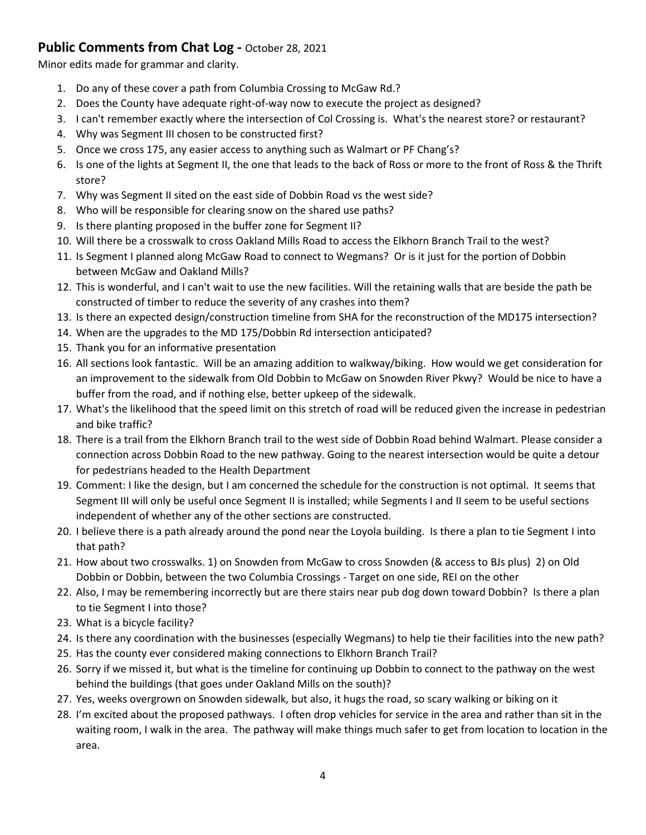## **Public Comments from Chat Log -** October 28, 2021

Minor edits made for grammar and clarity.

- 1. Do any of these cover a path from Columbia Crossing to McGaw Rd.?
- 2. Does the County have adequate right-of-way now to execute the project as designed?
- 3. I can't remember exactly where the intersection of Col Crossing is. What's the nearest store? or restaurant?
- 4. Why was Segment III chosen to be constructed first?
- 5. Once we cross 175, any easier access to anything such as Walmart or PF Chang's?
- 6. Is one of the lights at Segment II, the one that leads to the back of Ross or more to the front of Ross & the Thrift store?
- 7. Why was Segment II sited on the east side of Dobbin Road vs the west side?
- 8. Who will be responsible for clearing snow on the shared use paths?
- 9. Is there planting proposed in the buffer zone for Segment II?
- 10. Will there be a crosswalk to cross Oakland Mills Road to access the Elkhorn Branch Trail to the west?
- 11. Is Segment I planned along McGaw Road to connect to Wegmans? Or is it just for the portion of Dobbin between McGaw and Oakland Mills?
- 12. This is wonderful, and I can't wait to use the new facilities. Will the retaining walls that are beside the path be constructed of timber to reduce the severity of any crashes into them?
- 13. Is there an expected design/construction timeline from SHA for the reconstruction of the MD175 intersection?
- 14. When are the upgrades to the MD 175/Dobbin Rd intersection anticipated?
- 15. Thank you for an informative presentation
- 16. All sections look fantastic. Will be an amazing addition to walkway/biking. How would we get consideration for an improvement to the sidewalk from Old Dobbin to McGaw on Snowden River Pkwy? Would be nice to have a buffer from the road, and if nothing else, better upkeep of the sidewalk.
- 17. What's the likelihood that the speed limit on this stretch of road will be reduced given the increase in pedestrian and bike traffic?
- 18. There is a trail from the Elkhorn Branch trail to the west side of Dobbin Road behind Walmart. Please consider a connection across Dobbin Road to the new pathway. Going to the nearest intersection would be quite a detour for pedestrians headed to the Health Department
- 19. Comment: I like the design, but I am concerned the schedule for the construction is not optimal. It seems that Segment III will only be useful once Segment II is installed; while Segments I and II seem to be useful sections independent of whether any of the other sections are constructed.
- 20. I believe there is a path already around the pond near the Loyola building. Is there a plan to tie Segment I into that path?
- 21. How about two crosswalks. 1) on Snowden from McGaw to cross Snowden (& access to BJs plus) 2) on Old Dobbin or Dobbin, between the two Columbia Crossings - Target on one side, REI on the other
- 22. Also, I may be remembering incorrectly but are there stairs near pub dog down toward Dobbin? Is there a plan to tie Segment I into those?
- 23. What is a bicycle facility?
- 24. Is there any coordination with the businesses (especially Wegmans) to help tie their facilities into the new path?
- 25. Has the county ever considered making connections to Elkhorn Branch Trail?
- 26. Sorry if we missed it, but what is the timeline for continuing up Dobbin to connect to the pathway on the west behind the buildings (that goes under Oakland Mills on the south)?
- 27. Yes, weeks overgrown on Snowden sidewalk, but also, it hugs the road, so scary walking or biking on it
- 28. I'm excited about the proposed pathways. I often drop vehicles for service in the area and rather than sit in the waiting room, I walk in the area. The pathway will make things much safer to get from location to location in the area.